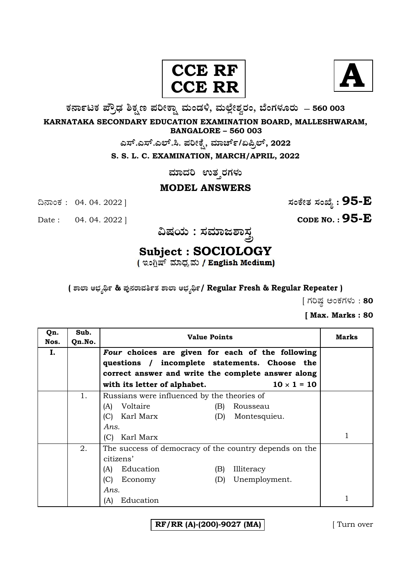



**O⁄´¤%lO⁄ ÆË√v⁄ ÃO⁄–y Æ⁄¬fiO¤– »⁄flMs⁄ÿ, »⁄fl≈Ê«fiÀ⁄ ¡⁄M, ∑ÊMV⁄◊⁄‡¡⁄fl — 560 003** 

**KARNATAKA SECONDARY EDUCATION EXAMINATION BOARD, MALLESHWARAM, BANGALORE – 560 003** 

**G—È.G—È.G≈È.". Æ⁄¬fiOÊ⁄–, »⁄·¤^È%/HØ√≈È, 2022**

**S. S. L. C. EXAMINATION, MARCH/APRIL, 2022** 

**ಮಾದರಿ** ಉತ್ತರಗಳು

#### **MODEL ANSWERS**

Date : 04. 04. 2022 ] **CODE NO. : 95-E**

¶´¤MO⁄ : 04. 04. 2022 ] **—⁄MOÊfi}⁄ —⁄MSÊ¿ : 95-E**



# **Subject : SOCIOLOGY**

**( À¤≈¤ @∫⁄¥¿£% & Æ⁄'¥´⁄¡¤»⁄~%}⁄ À¤≈¤ @∫⁄¥¿£%/ Regular Fresh & Regular Repeater )**

 $\int$  ಗರಿಷ್ಠ ಅಂಕಗಳು : **80** 

**[ Max. Marks : 80** 

| Qn.<br>Nos. | Sub.<br>Qn.No. | <b>Value Points</b>                                                                               | Marks |
|-------------|----------------|---------------------------------------------------------------------------------------------------|-------|
| I.          |                | Four choices are given for each of the following<br>questions / incomplete statements. Choose the |       |
|             |                | correct answer and write the complete answer along                                                |       |
|             |                | $10 \times 1 = 10$<br>with its letter of alphabet.                                                |       |
|             | 1.             | Russians were influenced by the theories of                                                       |       |
|             |                | Voltaire<br>(A)<br>Rousseau<br>(B)                                                                |       |
|             |                | Karl Marx<br>(C)<br>Montesquieu.<br>(D)                                                           |       |
|             |                | Ans.                                                                                              |       |
|             |                | Karl Marx<br>(C)                                                                                  |       |
|             | 2.             | The success of democracy of the country depends on the                                            |       |
|             |                | citizens'                                                                                         |       |
|             |                | Education<br>Illiteracy<br>(A)<br>(B)                                                             |       |
|             |                | (C)<br>Unemployment.<br>Economy<br>(D)                                                            |       |
|             |                | Ans.                                                                                              |       |
|             |                | Education<br>(A)                                                                                  |       |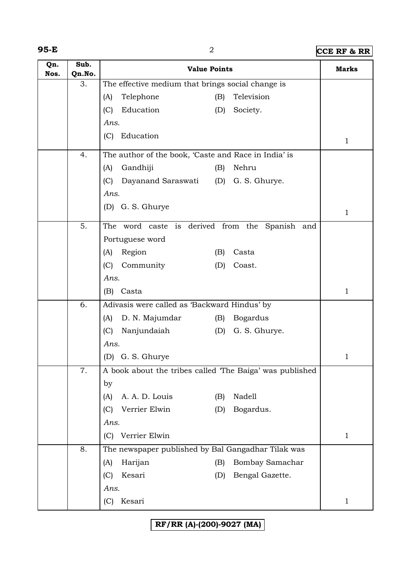**95-E** 2 **CCE RF & RR**

| Qn.<br>Nos. | Sub.<br>Qn.No. | <b>Value Points</b>                                     |     |                 | <b>Marks</b> |
|-------------|----------------|---------------------------------------------------------|-----|-----------------|--------------|
|             | 3.             | The effective medium that brings social change is       |     |                 |              |
|             |                | Telephone<br>(A)                                        | (B) | Television      |              |
|             |                | Education<br>(C)                                        | (D) | Society.        |              |
|             |                | Ans.                                                    |     |                 |              |
|             |                | Education<br>(C)                                        |     |                 | $\mathbf{1}$ |
|             | 4.             | The author of the book, 'Caste and Race in India' is    |     |                 |              |
|             |                | (A)<br>Gandhiji                                         | (B) | Nehru           |              |
|             |                | (C)<br>Dayanand Saraswati                               | (D) | G. S. Ghurye.   |              |
|             |                | Ans.                                                    |     |                 |              |
|             |                | (D) G. S. Ghurye                                        |     |                 | $\mathbf{1}$ |
|             | 5.             | The word caste is derived from the Spanish and          |     |                 |              |
|             |                | Portuguese word                                         |     |                 |              |
|             |                | Region<br>(A)                                           | (B) | Casta           |              |
|             |                | Community<br>(C)                                        | (D) | Coast.          |              |
|             |                | Ans.                                                    |     |                 |              |
|             |                | Casta<br>(B)                                            |     |                 | $\mathbf{1}$ |
|             | 6.             | Adivasis were called as 'Backward Hindus' by            |     |                 |              |
|             |                | D. N. Majumdar<br>(A)                                   | (B) | <b>Bogardus</b> |              |
|             |                | Nanjundaiah<br>(C)                                      | (D) | G. S. Ghurye.   |              |
|             |                | Ans.                                                    |     |                 |              |
|             |                | (D) G. S. Ghurye                                        |     |                 | 1            |
|             | 7.             | A book about the tribes called The Baiga' was published |     |                 |              |
|             |                | by                                                      |     |                 |              |
|             |                | A. A. D. Louis<br>(A)                                   | (B) | Nadell          |              |
|             |                | Verrier Elwin<br>(C)                                    | (D) | Bogardus.       |              |
|             |                | Ans.                                                    |     |                 |              |
|             |                | Verrier Elwin<br>(C)                                    |     |                 | $\mathbf{1}$ |
|             | 8.             | The newspaper published by Bal Gangadhar Tilak was      |     |                 |              |
|             |                | Harijan<br>(A)                                          | (B) | Bombay Samachar |              |
|             |                | Kesari<br>(C)                                           | (D) | Bengal Gazette. |              |
|             |                | Ans.                                                    |     |                 |              |
|             |                | Kesari<br>(C)                                           |     |                 | $\mathbf{1}$ |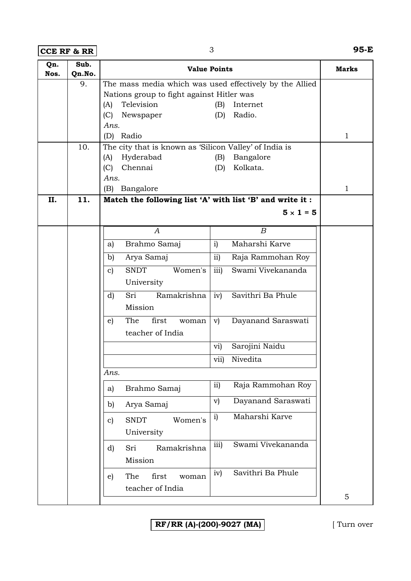**CCE RF & RR** 3 **95-E**

| Qn.<br>Nos. | Sub.<br>Qn.No. | <b>Value Points</b>                                       | <b>Marks</b>                        |              |
|-------------|----------------|-----------------------------------------------------------|-------------------------------------|--------------|
|             | 9.             | The mass media which was used effectively by the Allied   |                                     |              |
|             |                | Nations group to fight against Hitler was                 |                                     |              |
|             |                | Television<br>(A)                                         | (B)<br>Internet                     |              |
|             |                | (C)<br>Newspaper                                          | Radio.<br>(D)                       |              |
|             |                | Ans.                                                      |                                     |              |
|             |                | Radio<br>(D)                                              |                                     | $\mathbf{1}$ |
|             | 10.            | The city that is known as 'Silicon Valley' of India is    |                                     |              |
|             |                | Hyderabad<br>(A)                                          | Bangalore<br>(B)                    |              |
|             |                | Chennai<br>(C)                                            | Kolkata.<br>(D)                     |              |
|             |                | Ans.                                                      |                                     |              |
|             |                | Bangalore<br>(B)                                          |                                     | $\mathbf{1}$ |
| II.         | 11.            | Match the following list 'A' with list 'B' and write it : |                                     |              |
|             |                |                                                           | $5 \times 1 = 5$                    |              |
|             |                | A                                                         | $\boldsymbol{B}$                    |              |
|             |                | Brahmo Samaj<br>a)                                        | Maharshi Karve<br>i)                |              |
|             |                | Arya Samaj<br>b)                                          | ii)<br>Raja Rammohan Roy            |              |
|             |                | <b>SNDT</b><br>Women's<br>$\mathbf{c}$                    | iii)<br>Swami Vivekananda           |              |
|             |                | University                                                |                                     |              |
|             |                | Sri<br>Ramakrishna<br>$\mathbf{d}$                        | Savithri Ba Phule<br>iv)            |              |
|             |                | Mission                                                   |                                     |              |
|             |                | first<br>The<br>$\epsilon$ )<br>woman                     | Dayanand Saraswati<br>V)            |              |
|             |                | teacher of India                                          |                                     |              |
|             |                |                                                           | Sarojini Naidu<br>vi)               |              |
|             |                |                                                           | Nivedita<br>vii)                    |              |
|             |                | Ans.                                                      |                                     |              |
|             |                | Brahmo Samaj<br>a)                                        | Raja Rammohan Roy<br>ii)            |              |
|             |                | Arya Samaj<br>b)                                          | Dayanand Saraswati<br>$\mathbf{v})$ |              |
|             |                | <b>SNDT</b><br>Women's<br>$\mathbf{c}$                    | Maharshi Karve<br>i)                |              |
|             |                | University                                                |                                     |              |
|             |                | Ramakrishna<br>d)<br>Sri                                  | Swami Vivekananda<br>iii)           |              |
|             |                | Mission                                                   |                                     |              |
|             |                | The<br>first                                              | iv)<br>Savithri Ba Phule            |              |
|             |                | $\epsilon$ )<br>woman                                     |                                     |              |
|             |                | teacher of India                                          |                                     | 5            |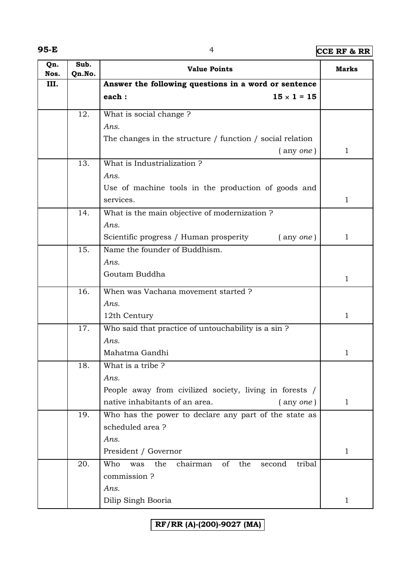**95-E** 4 **CCE RF & RR**

| Qn.<br>Nos. | Sub.<br>Qn.No. | <b>Value Points</b>                                                           | Marks        |
|-------------|----------------|-------------------------------------------------------------------------------|--------------|
| III.        |                | Answer the following questions in a word or sentence                          |              |
|             |                | each:<br>$15 \times 1 = 15$                                                   |              |
|             | 12.            | What is social change?                                                        |              |
|             |                | Ans.                                                                          |              |
|             |                | The changes in the structure / function / social relation                     |              |
|             |                | $($ any <i>one</i> $)$                                                        | $\mathbf{1}$ |
|             | 13.            | What is Industrialization?                                                    |              |
|             |                | Ans.                                                                          |              |
|             |                | Use of machine tools in the production of goods and                           |              |
|             |                | services.                                                                     | $\mathbf{1}$ |
|             | 14.            | What is the main objective of modernization ?                                 |              |
|             |                | Ans.                                                                          |              |
|             |                | Scientific progress / Human prosperity<br>(any one)                           | 1            |
|             | 15.            | Name the founder of Buddhism.                                                 |              |
|             |                | Ans.                                                                          |              |
|             |                | Goutam Buddha                                                                 | $\mathbf{1}$ |
|             | 16.            | When was Vachana movement started ?                                           |              |
|             |                | Ans.                                                                          |              |
|             |                | 12th Century                                                                  | $\mathbf{1}$ |
|             | 17.            | Who said that practice of untouchability is a sin ?                           |              |
|             |                | Ans.                                                                          |              |
|             |                | Mahatma Gandhi                                                                | 1            |
|             | 18.            | What is a tribe?                                                              |              |
|             |                | Ans.                                                                          |              |
|             |                | People away from civilized society, living in forests /                       |              |
|             |                | native inhabitants of an area.<br>$($ any one)                                | $\mathbf{1}$ |
|             | 19.            | Who has the power to declare any part of the state as                         |              |
|             |                | scheduled area?                                                               |              |
|             |                | Ans.                                                                          |              |
|             |                | President / Governor                                                          | $\mathbf{1}$ |
|             | 20.            | Who<br>the<br>chairman<br>of<br>the<br>tribal<br>second<br>was<br>commission? |              |
|             |                | Ans.                                                                          |              |
|             |                | Dilip Singh Booria                                                            | $\mathbf{1}$ |
|             |                |                                                                               |              |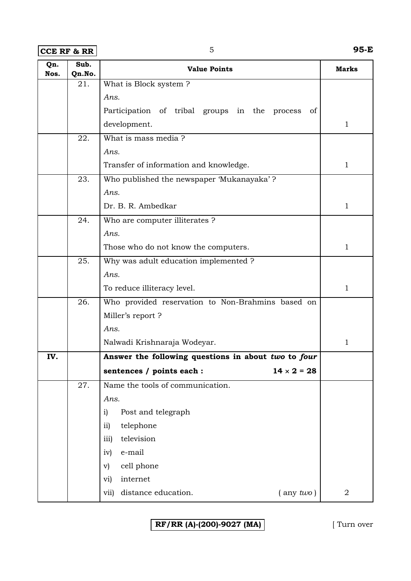### **CCE RF & RR** 5 **95-E**

| Qn.<br>Nos. | Sub.<br>Qn.No. | <b>Value Points</b>                                 | <b>Marks</b>   |
|-------------|----------------|-----------------------------------------------------|----------------|
|             | 21.            | What is Block system?                               |                |
|             |                | Ans.                                                |                |
|             |                | Participation of tribal groups in the process<br>of |                |
|             |                | development.                                        | $\mathbf{1}$   |
|             | 22.            | What is mass media?                                 |                |
|             |                | Ans.                                                |                |
|             |                | Transfer of information and knowledge.              | $\mathbf{1}$   |
|             | 23.            | Who published the newspaper 'Mukanayaka'?           |                |
|             |                | Ans.                                                |                |
|             |                | Dr. B. R. Ambedkar                                  | $\mathbf{1}$   |
|             | 24.            | Who are computer illiterates ?                      |                |
|             |                | Ans.                                                |                |
|             |                | Those who do not know the computers.                | $\mathbf{1}$   |
|             | 25.            | Why was adult education implemented ?               |                |
|             |                | Ans.                                                |                |
|             |                | To reduce illiteracy level.                         | $\mathbf{1}$   |
|             | 26.            | Who provided reservation to Non-Brahmins based on   |                |
|             |                | Miller's report?                                    |                |
|             |                | Ans.                                                |                |
|             |                | Nalwadi Krishnaraja Wodeyar.                        | $\mathbf{1}$   |
| IV.         |                | Answer the following questions in about two to four |                |
|             |                | $14 \times 2 = 28$<br>sentences / points each :     |                |
|             | 27.            | Name the tools of communication.                    |                |
|             |                | Ans.                                                |                |
|             |                | i)<br>Post and telegraph                            |                |
|             |                | telephone<br>$\overline{11}$                        |                |
|             |                | television<br>iii)                                  |                |
|             |                | e-mail<br>iv)                                       |                |
|             |                | cell phone<br>V)                                    |                |
|             |                | internet<br>vi)                                     |                |
|             |                | distance education.<br>$($ any $two)$<br>vii)       | $\overline{2}$ |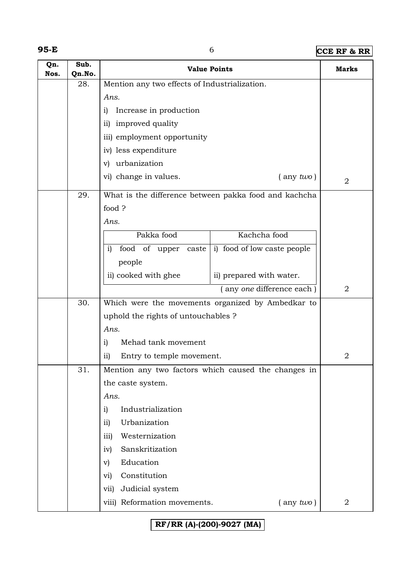# **95-E** 6 **CCE RF & RR**

| Qn.<br>Nos. | Sub.<br>Qn.No. | <b>Value Points</b>                                         | <b>Marks</b>   |
|-------------|----------------|-------------------------------------------------------------|----------------|
|             | 28.            | Mention any two effects of Industrialization.               |                |
|             |                | Ans.                                                        |                |
|             |                | Increase in production<br>i)                                |                |
|             |                | ii) improved quality                                        |                |
|             |                | iii) employment opportunity                                 |                |
|             |                | iv) less expenditure                                        |                |
|             |                | v) urbanization                                             |                |
|             |                | vi) change in values.<br>$($ any $two)$                     | $\overline{2}$ |
|             | 29.            | What is the difference between pakka food and kachcha       |                |
|             |                | food?                                                       |                |
|             |                | Ans.                                                        |                |
|             |                | Pakka food<br>Kachcha food                                  |                |
|             |                | food of upper<br>i) food of low caste people<br>i)<br>caste |                |
|             |                | people                                                      |                |
|             |                | ii) cooked with ghee<br>ii) prepared with water.            |                |
|             |                | (any one difference each)                                   | $\overline{2}$ |
|             | 30.            | Which were the movements organized by Ambedkar to           |                |
|             |                | uphold the rights of untouchables ?                         |                |
|             |                | Ans.                                                        |                |
|             |                | Mehad tank movement<br>i)                                   |                |
|             |                | $\overline{ii}$<br>Entry to temple movement.                | 2              |
|             | 31.            | Mention any two factors which caused the changes in         |                |
|             |                | the caste system.                                           |                |
|             |                | Ans.                                                        |                |
|             |                | Industrialization<br>$\mathbf{i}$                           |                |
|             |                | Urbanization<br>$\overline{ii}$                             |                |
|             |                | Westernization<br>iii)                                      |                |
|             |                | Sanskritization<br>iv)                                      |                |
|             |                | Education<br>$\mathbf{v})$                                  |                |
|             |                | Constitution<br>vi)                                         |                |
|             |                | Judicial system<br>vii)                                     |                |
|             |                | viii) Reformation movements.<br>$($ any $two)$              | 2              |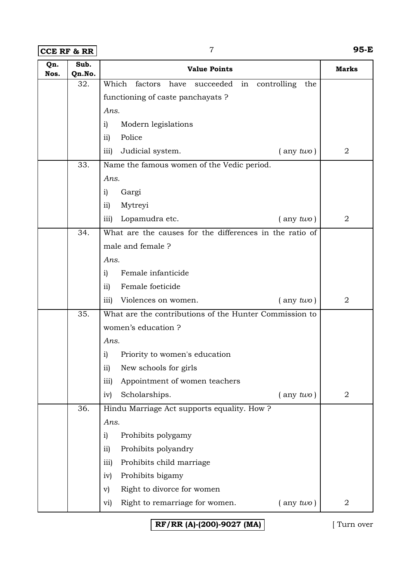**CCE RF & RR** 7 **95-E**

| Qn.<br>Nos. | Sub.<br>Qn.No. | <b>Value Points</b>                                               | Marks          |
|-------------|----------------|-------------------------------------------------------------------|----------------|
|             | 32.            | Which<br>factors<br>have<br>succeeded<br>controlling<br>the<br>in |                |
|             |                | functioning of caste panchayats ?                                 |                |
|             |                | Ans.                                                              |                |
|             |                | Modern legislations<br>i)                                         |                |
|             |                | Police<br>$\overline{11}$                                         |                |
|             |                | Judicial system.<br>$($ any $two)$<br>iii)                        | $\overline{2}$ |
|             | 33.            | Name the famous women of the Vedic period.                        |                |
|             |                | Ans.                                                              |                |
|             |                | Gargi<br>i)                                                       |                |
|             |                | Mytreyi<br>$\overline{ii}$                                        |                |
|             |                | Lopamudra etc.<br>$($ any $two)$<br>iii)                          | $\overline{2}$ |
|             | 34.            | What are the causes for the differences in the ratio of           |                |
|             |                | male and female?                                                  |                |
|             |                | Ans.                                                              |                |
|             |                | Female infanticide<br>i)                                          |                |
|             |                | Female foeticide<br>$\overline{11}$                               |                |
|             |                | $($ any $two)$<br>Violences on women.<br>iii)                     | $\overline{2}$ |
|             | 35.            | What are the contributions of the Hunter Commission to            |                |
|             |                | women's education?                                                |                |
|             |                | Ans.                                                              |                |
|             |                | Priority to women's education<br>i)                               |                |
|             |                | $\mathbf{ii}$<br>New schools for girls                            |                |
|             |                | Appointment of women teachers<br>iii)                             |                |
|             |                | Scholarships.<br>$($ any $two)$<br>iv)                            | $\overline{2}$ |
|             | 36.            | Hindu Marriage Act supports equality. How ?                       |                |
|             |                | Ans.                                                              |                |
|             |                | Prohibits polygamy<br>$\mathbf{i}$                                |                |
|             |                | Prohibits polyandry<br>$\overline{ii}$                            |                |
|             |                | Prohibits child marriage<br>iii)                                  |                |
|             |                | Prohibits bigamy<br>iv)                                           |                |
|             |                | Right to divorce for women<br>$\rm v)$                            |                |
|             |                | Right to remarriage for women.<br>$($ any $two)$<br>vi)           | $\overline{2}$ |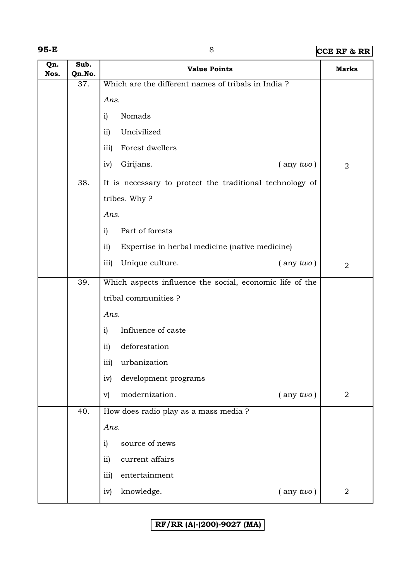# **95-E** 8 **CCE RF & RR**

| Qn.<br>Nos. | Sub.<br>Qn.No. | <b>Value Points</b>                                      | <b>Marks</b>   |
|-------------|----------------|----------------------------------------------------------|----------------|
|             | 37.            | Which are the different names of tribals in India?       |                |
|             |                | Ans.                                                     |                |
|             |                | Nomads<br>$\mathbf{i}$                                   |                |
|             |                | Uncivilized<br>ii)                                       |                |
|             |                | iii)<br>Forest dwellers                                  |                |
|             |                | Girijans.<br>$($ any $two)$<br>iv)                       | $\overline{2}$ |
|             | 38.            | It is necessary to protect the traditional technology of |                |
|             |                | tribes. Why?                                             |                |
|             |                | Ans.                                                     |                |
|             |                | Part of forests<br>i)                                    |                |
|             |                | ii)<br>Expertise in herbal medicine (native medicine)    |                |
|             |                | Unique culture.<br>iii)<br>$($ any two)                  | $\overline{2}$ |
|             | 39.            | Which aspects influence the social, economic life of the |                |
|             |                | tribal communities?                                      |                |
|             |                | Ans.                                                     |                |
|             |                | Influence of caste<br>i)                                 |                |
|             |                | deforestation<br>ii)                                     |                |
|             |                | iii)<br>urbanization                                     |                |
|             |                | development programs<br>iv)                              |                |
|             |                | modernization.<br>$\mathbf{v})$<br>$($ any $two)$        | $\overline{2}$ |
|             | 40.            | How does radio play as a mass media ?                    |                |
|             |                | Ans.                                                     |                |
|             |                | source of news<br>$\mathbf{i}$                           |                |
|             |                | ii)<br>current affairs                                   |                |
|             |                | iii)<br>entertainment                                    |                |
|             |                | knowledge.<br>$($ any $two)$<br>iv)                      | $\overline{2}$ |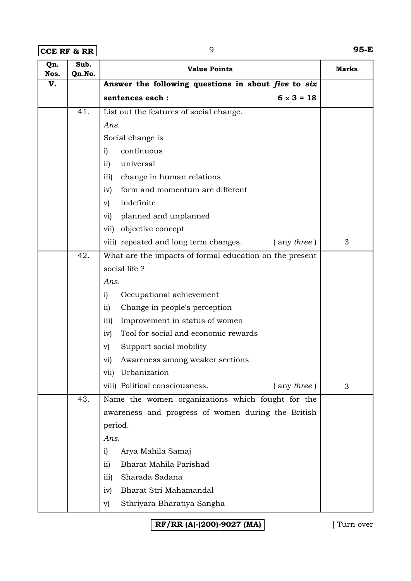**CCE RF & RR** 9 **95-E**

| Qn.<br>Nos. | Sub.<br>Qn.No. | <b>Value Points</b>                                        | <b>Marks</b> |
|-------------|----------------|------------------------------------------------------------|--------------|
| V.          |                | Answer the following questions in about five to six        |              |
|             |                | sentences each :<br>$6 \times 3 = 18$                      |              |
|             | 41.            | List out the features of social change.                    |              |
|             |                | Ans.                                                       |              |
|             |                | Social change is                                           |              |
|             |                | continuous<br>i)                                           |              |
|             |                | universal<br>$\overline{11}$                               |              |
|             |                | change in human relations<br>$\overline{iii}$              |              |
|             |                | form and momentum are different<br>iv)                     |              |
|             |                | indefinite<br>V)                                           |              |
|             |                | planned and unplanned<br>vi)                               |              |
|             |                | objective concept<br>vii)                                  |              |
|             |                | viii) repeated and long term changes.<br>$($ any three $)$ | 3            |
|             | 42.            | What are the impacts of formal education on the present    |              |
|             |                | social life?                                               |              |
|             |                | Ans.                                                       |              |
|             |                | Occupational achievement<br>i)                             |              |
|             |                | Change in people's perception<br>$\rm ii)$                 |              |
|             |                | Improvement in status of women<br>iii)                     |              |
|             |                | Tool for social and economic rewards<br>iv)                |              |
|             |                | Support social mobility<br>V)                              |              |
|             |                | Awareness among weaker sections<br>vi)                     |              |
|             |                | Urbanization<br>vii)                                       |              |
|             |                | viii) Political consciousness.<br>$($ any three $)$        | 3            |
|             | 43.            | Name the women organizations which fought for the          |              |
|             |                | awareness and progress of women during the British         |              |
|             |                | period.                                                    |              |
|             |                | Ans.                                                       |              |
|             |                | Arya Mahila Samaj<br>$\mathbf{i}$                          |              |
|             |                | Bharat Mahila Parishad<br>ii)                              |              |
|             |                | Sharada Sadana<br>111)                                     |              |
|             |                | Bharat Stri Mahamandal<br>iv)                              |              |
|             |                | Sthriyara Bharatiya Sangha<br>$\rm v)$                     |              |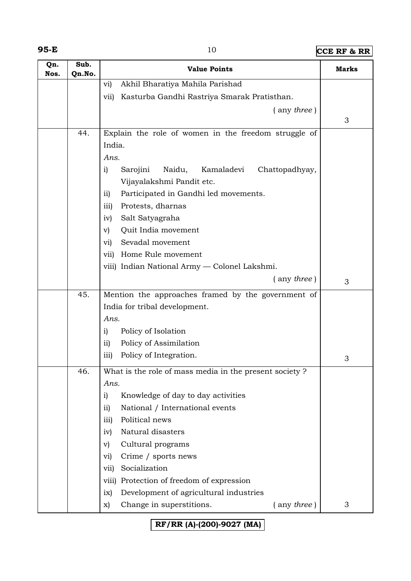**95-E** 10 **CCE RF & RR**

| Qn.<br>Nos. | Sub.<br>Qn.No. | <b>Value Points</b>                                      | <b>Marks</b> |
|-------------|----------------|----------------------------------------------------------|--------------|
|             |                | Akhil Bharatiya Mahila Parishad<br>$\mathbf{vi})$        |              |
|             |                | Kasturba Gandhi Rastriya Smarak Pratisthan.<br>vii)      |              |
|             |                | $($ any three)                                           |              |
|             |                |                                                          | 3            |
|             | 44.            | Explain the role of women in the freedom struggle of     |              |
|             |                | India.                                                   |              |
|             |                | Ans.                                                     |              |
|             |                | Kamaladevi<br>Chattopadhyay,<br>i)<br>Sarojini<br>Naidu, |              |
|             |                | Vijayalakshmi Pandit etc.                                |              |
|             |                | Participated in Gandhi led movements.<br>$\overline{11}$ |              |
|             |                | Protests, dharnas<br>iii)                                |              |
|             |                | Salt Satyagraha<br>iv)                                   |              |
|             |                | Quit India movement<br>$\mathbf{v}$                      |              |
|             |                | Sevadal movement<br>vi)                                  |              |
|             |                | Home Rule movement<br>vii)                               |              |
|             |                | viii) Indian National Army - Colonel Lakshmi.            |              |
|             |                | $($ any three)                                           | 3            |
|             | 45.            | Mention the approaches framed by the government of       |              |
|             |                | India for tribal development.                            |              |
|             |                | Ans.                                                     |              |
|             |                | Policy of Isolation<br>i)                                |              |
|             |                | Policy of Assimilation<br>$\overline{11}$                |              |
|             |                | Policy of Integration.<br>$\overline{iii}$               | 3            |
|             | 46.            | What is the role of mass media in the present society?   |              |
|             |                | Ans.                                                     |              |
|             |                | Knowledge of day to day activities<br>i)                 |              |
|             |                | National / International events<br>$\overline{ii}$       |              |
|             |                | Political news<br>iii)                                   |              |
|             |                | Natural disasters<br>iv)                                 |              |
|             |                | Cultural programs<br>$\mathbf{v}$                        |              |
|             |                | Crime / sports news<br>vi)                               |              |
|             |                | Socialization<br>vii)                                    |              |
|             |                | Protection of freedom of expression<br>viii)             |              |
|             |                | Development of agricultural industries<br>ix)            |              |
|             |                | Change in superstitions.<br>$($ any three)<br>X)         | 3            |